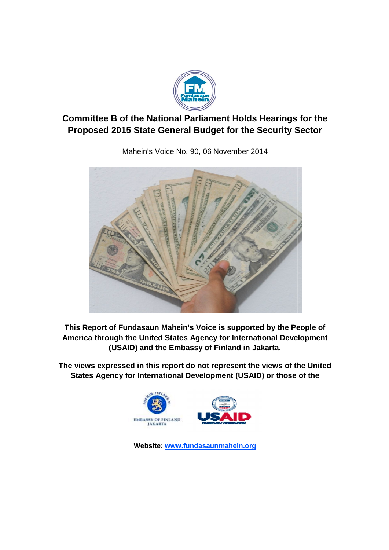

# **Committee B of the National Parliament Holds Hearings for the Proposed 2015 State General Budget for the Security Sector**



Mahein's Voice No. 90, 06 November 2014

**This Report of Fundasaun Mahein's Voice is supported by the People of America through the United States Agency for International Development (USAID) and the Embassy of Finland in Jakarta.**

**The views expressed in this report do not represent the views of the United States Agency for International Development (USAID) or those of the** 



Website: www.fundasaunmahein.org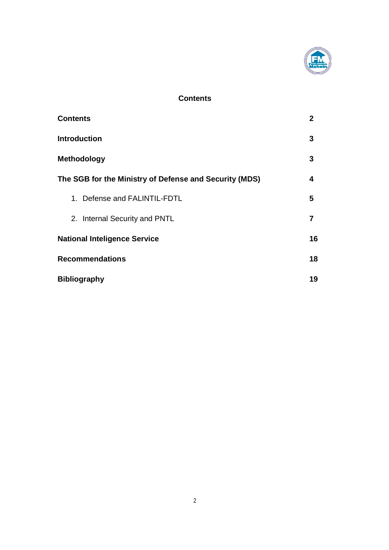

## **Contents**

| <b>Contents</b>                                        | 2  |
|--------------------------------------------------------|----|
| <b>Introduction</b>                                    | 3  |
| <b>Methodology</b>                                     | 3  |
| The SGB for the Ministry of Defense and Security (MDS) | 4  |
| 1. Defense and FALINTIL-FDTL                           | 5  |
| 2. Internal Security and PNTL                          | 7  |
| <b>National Inteligence Service</b>                    | 16 |
| <b>Recommendations</b>                                 | 18 |
| <b>Bibliography</b>                                    | 19 |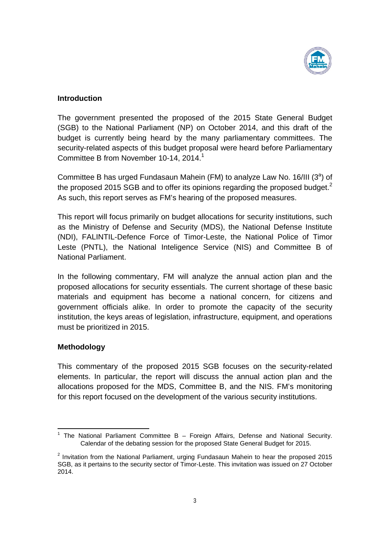

#### **Introduction**

The government presented the proposed of the 2015 State General Budget (SGB) to the National Parliament (NP) on October 2014, and this draft of the budget is currently being heard by the many parliamentary committees. The security-related aspects of this budget proposal were heard before Parliamentary Committee B from November 10-14, 2014.<sup>1</sup>

Committee B has urged Fundasaun Mahein (FM) to analyze Law No. 16/III ( $3<sup>a</sup>$ ) of the proposed 2015 SGB and to offer its opinions regarding the proposed budget.<sup>2</sup> As such, this report serves as FM's hearing of the proposed measures.

This report will focus primarily on budget allocations for security institutions, such as the Ministry of Defense and Security (MDS), the National Defense Institute (NDI), FALINTIL-Defence Force of Timor-Leste, the National Police of Timor Leste (PNTL), the National Inteligence Service (NIS) and Committee B of National Parliament.

In the following commentary, FM will analyze the annual action plan and the proposed allocations for security essentials. The current shortage of these basic materials and equipment has become a national concern, for citizens and government officials alike. In order to promote the capacity of the security institution, the keys areas of legislation, infrastructure, equipment, and operations must be prioritized in 2015.

### **Methodology**

This commentary of the proposed 2015 SGB focuses on the security-related elements. In particular, the report will discuss the annual action plan and the allocations proposed for the MDS, Committee B, and the NIS. FM's monitoring for this report focused on the development of the various security institutions.

 $1$  The National Parliament Committee B – Foreign Affairs, Defense and National Security. Calendar of the debating session for the proposed State General Budget for 2015.

 $2$  Invitation from the National Parliament, urging Fundasaun Mahein to hear the proposed 2015 SGB, as it pertains to the security sector of Timor-Leste. This invitation was issued on 27 October 2014.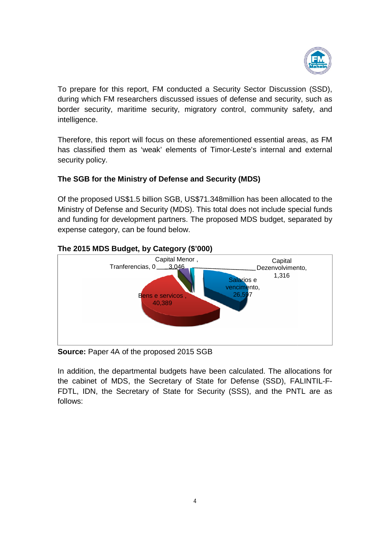

To prepare for this report, FM conducted a Security Sector Discussion (SSD), during which FM researchers discussed issues of defense and security, such as during which FM researchers discussed issues of defense and security, such as<br>border security, maritime security, migratory control, community safety, and intelligence.

Therefore, this report will focus on these aforementioned essential areas, as FM has classified them as 'weak' elements of Timor-Leste's internal and external security policy.

## **The SGB for the Ministry of Defense and Security (MDS) Security**

Of the proposed US\$1.5 billion SGB, US\$71.348million has been allocated to the has classified them as 'weak' elements of Timor-Leste's internal and external<br>security policy.<br>The SGB for the Ministry of Defense and Security (MDS)<br>Of the proposed US\$1.5 billion SGB, US\$71.348million has been allocated and funding for development partners. The proposed MDS budget, separated by expense category, can be found below.



## **The 2015 MDS Budget, by Category (\$'000)**

**Source:** Paper 4A of the proposed 2015 SGB

In addition, the departmental budgets have been calculated. The allocations for In addition, the departmental budgets have been calculated. The allocations for<br>the cabinet of MDS, the Secretary of State for Defense (SSD), FALINTIL-F-FDTL, IDN, the Secretary of State for Security (SSS), and the PNTL are as follows: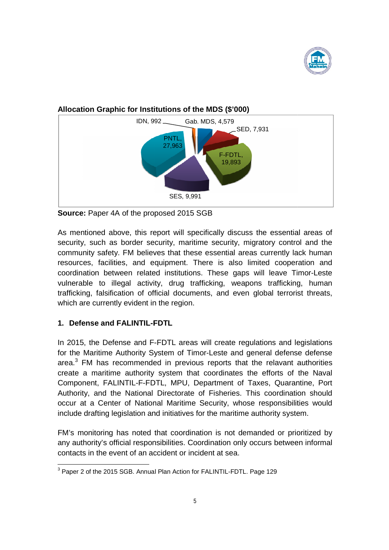



## **Allocation Graphic for Institutions nstitutions of the MDS (\$'000)**

As mentioned above, this report will specifically discuss the essential areas of security, such as border security, maritime security, migratory control and the community safety. FM believes that these essential areas currently lack human resources, facilities, and equipment. There is also limited cooperation and coordination between related institutions. These gaps will leave Timor-Leste vulnerable to illegal activity, drug trafficking, weapons trafficking, human trafficking, falsification of official documents, and even global terrorist threats, which are currently evident in the region. trafficking, falsification of official documents, and even global terrorist threats,<br>which are currently evident in the region.<br>1. Defense and FALINTIL-FDTL<br>In 2015, the Defense and F-FDTL areas will create regulations and

### **1. Defense and FALINTIL-FDTL FDTL**

for the Maritime Authority System of Timor-Leste and general defense defense area. $3$  FM has recommended in previous reports that the relavant authorities area.<sup>3</sup> FM has recommended in previous reports that the relavant authorities<br>create a maritime authority system that coordinates the efforts of the Naval Component, FALINTIL-F-FDTL, MPU, Department of Taxes, Quarantine, Port Authority, and the National Directorate of Fisheries. This coordination should occur at a Center of National Maritime Security, whose responsibilities would include drafting legislation and initiatives for the maritime authority system Component, FALINTIL-F-FDTL, MPU, Department of Taxes, Quarantin<br>Authority, and the National Directorate of Fisheries. This coordination<br>occur at a Center of National Maritime Security, whose responsibilities<br>include drafti

include drafting legislation and initiatives for the maritime authority system.<br>FM's monitoring has noted that coordination is not demanded or prioritized by FM's monitoring has noted that coordination is not demanded or prioritized by<br>any authority's official responsibilities. Coordination only occurs between informal contacts in the event of an accident or incident at sea.

**Source:** Paper 4A of the proposed 2015 SGB

THE 2015 SUPERDIEL PROTECT CONTROLLER THE 2015 SCB. Annual Plan Action for FALINTIL-FDTL. Page 129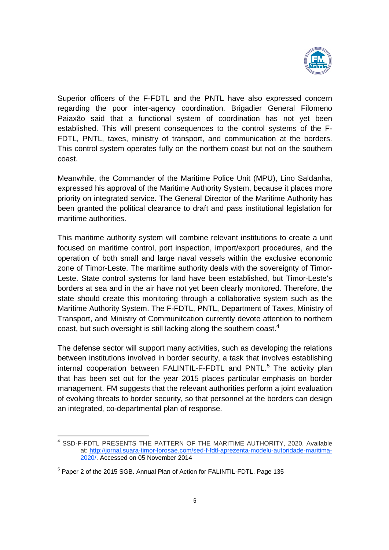

Superior officers of the F-FDTL and the PNTL have also expressed concern regarding the poor inter-agency coordination. Brigadier General Filomeno Paiaxão said that a functional system of coordination has not yet been established. This will present consequences to the control systems of the F-FDTL, PNTL, taxes, ministry of transport, and communication at the borders. This control system operates fully on the northern coast but not on the southern coast.

Meanwhile, the Commander of the Maritime Police Unit (MPU), Lino Saldanha, expressed his approval of the Maritime Authority System, because it places more priority on integrated service. The General Director of the Maritime Authority has been granted the political clearance to draft and pass institutional legislation for maritime authorities.

This maritime authority system will combine relevant institutions to create a unit focused on maritime control, port inspection, import/export procedures, and the operation of both small and large naval vessels within the exclusive economic zone of Timor-Leste. The maritime authority deals with the sovereignty of Timor-Leste. State control systems for land have been established, but Timor-Leste's borders at sea and in the air have not yet been clearly monitored. Therefore, the state should create this monitoring through a collaborative system such as the Maritime Authority System. The F-FDTL, PNTL, Department of Taxes, Ministry of Transport, and Ministry of Communitcation currently devote attention to northern coast, but such oversight is still lacking along the southern coast.<sup>4</sup>

The defense sector will support many activities, such as developing the relations between institutions involved in border security, a task that involves establishing internal cooperation between FALINTIL-F-FDTL and PNTL.<sup>5</sup> The activity plan that has been set out for the year 2015 places particular emphasis on border management. FM suggests that the relevant authorities perform a joint evaluation of evolving threats to border security, so that personnel at the borders can design an integrated, co-departmental plan of response.

<sup>4</sup> SSD-F-FDTL PRESENTS THE PATTERN OF THE MARITIME AUTHORITY, 2020. Available at: http://jornal.suara-timor-lorosae.com/sed-f-fdtl-aprezenta-modelu-autoridade-maritima-2020/. Accessed on 05 November 2014

<sup>5</sup> Paper 2 of the 2015 SGB. Annual Plan of Action for FALINTIL-FDTL. Page 135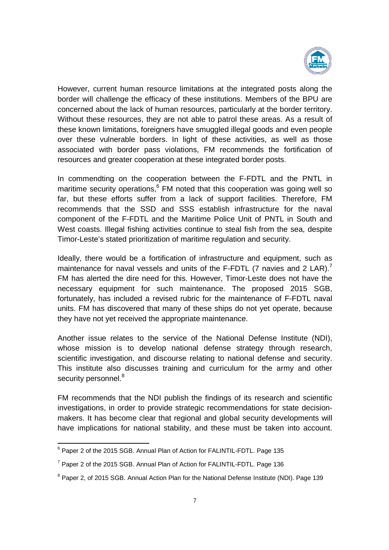

However, current human resource limitations at the integrated posts along the border will challenge the efficacy of these institutions. Members of the BPU are concerned about the lack of human resources, particularly at the border territory. Without these resources, they are not able to patrol these areas. As a result of these known limitations, foreigners have smuggled illegal goods and even people over these vulnerable borders. In light of these activities, as well as those associated with border pass violations, FM recommends the fortification of resources and greater cooperation at these integrated border posts.

In commendting on the cooperation between the F-FDTL and the PNTL in maritime security operations,<sup>6</sup> FM noted that this cooperation was going well so far, but these efforts suffer from a lack of support facilities. Therefore, FM recommends that the SSD and SSS establish infrastructure for the naval component of the F-FDTL and the Maritime Police Unit of PNTL in South and West coasts. Illegal fishing activities continue to steal fish from the sea, despite Timor-Leste's stated prioritization of maritime regulation and security.

Ideally, there would be a fortification of infrastructure and equipment, such as maintenance for naval vessels and units of the F-FDTL (7 navies and 2 LAR).<sup>7</sup> FM has alerted the dire need for this. However, Timor-Leste does not have the necessary equipment for such maintenance. The proposed 2015 SGB, fortunately, has included a revised rubric for the maintenance of F-FDTL naval units. FM has discovered that many of these ships do not yet operate, because they have not yet received the appropriate maintenance.

Another issue relates to the service of the National Defense Institute (NDI), whose mission is to develop national defense strategy through research, scientific investigation, and discourse relating to national defense and security. This institute also discusses training and curriculum for the army and other security personnel.<sup>8</sup>

FM recommends that the NDI publish the findings of its research and scientific investigations, in order to provide strategic recommendations for state decisionmakers. It has become clear that regional and global security developments will have implications for national stability, and these must be taken into account.

<sup>&</sup>lt;sup>6</sup> Paper 2 of the 2015 SGB. Annual Plan of Action for FALINTIL-FDTL. Page 135

 $7$  Paper 2 of the 2015 SGB. Annual Plan of Action for FALINTIL-FDTL. Page 136

<sup>&</sup>lt;sup>8</sup> Paper 2, of 2015 SGB. Annual Action Plan for the National Defense Institute (NDI). Page 139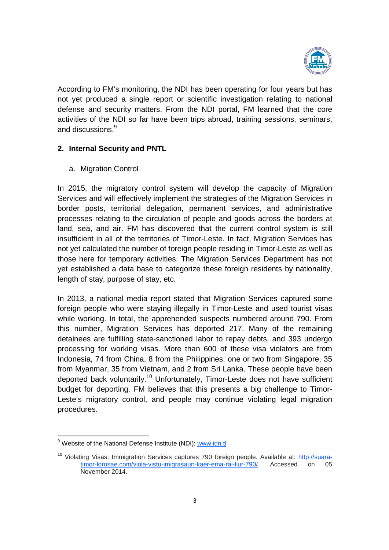

According to FM's monitoring, the NDI has been operating for four years but has not yet produced a single report or scientific investigation relating to national defense and security matters. From the NDI portal, FM learned that the core activities of the NDI so far have been trips abroad, training sessions, seminars, and discussions.<sup>9</sup>

### **2. Internal Security and PNTL**

a. Migration Control

In 2015, the migratory control system will develop the capacity of Migration Services and will effectively implement the strategies of the Migration Services in border posts, territorial delegation, permanent services, and administrative processes relating to the circulation of people and goods across the borders at land, sea, and air. FM has discovered that the current control system is still insufficient in all of the territories of Timor-Leste. In fact, Migration Services has not yet calculated the number of foreign people residing in Timor-Leste as well as those here for temporary activities. The Migration Services Department has not yet established a data base to categorize these foreign residents by nationality, length of stay, purpose of stay, etc.

In 2013, a national media report stated that Migration Services captured some foreign people who were staying illegally in Timor-Leste and used tourist visas while working. In total, the apprehended suspects numbered around 790. From this number, Migration Services has deported 217. Many of the remaining detainees are fulfilling state-sanctioned labor to repay debts, and 393 undergo processing for working visas. More than 600 of these visa violators are from Indonesia, 74 from China, 8 from the Philippines, one or two from Singapore, 35 from Myanmar, 35 from Vietnam, and 2 from Sri Lanka. These people have been deported back voluntarily.<sup>10</sup> Unfortunately, Timor-Leste does not have sufficient budget for deporting. FM believes that this presents a big challenge to Timor-Leste's migratory control, and people may continue violating legal migration procedures.

<sup>&</sup>lt;sup>9</sup> Website of the National Defense Institute (NDI): www.idn.tl

<sup>&</sup>lt;sup>10</sup> Violating Visas: Immigration Services captures 790 foreign people. Available at: http://suaratimor-lorosae.com/viola-vistu-imigrasaun-kaer-ema-rai-liur-790/. Accessed on 05 November 2014.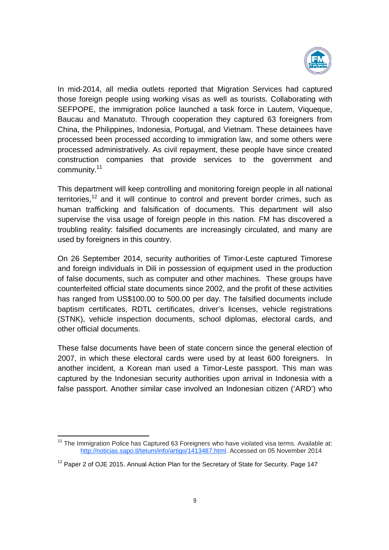

In mid-2014, all media outlets reported that Migration Services had captured those foreign people using working visas as well as tourists. Collaborating with SEFPOPE, the immigration police launched a task force in Lautem, Viqueque, Baucau and Manatuto. Through cooperation they captured 63 foreigners from China, the Philippines, Indonesia, Portugal, and Vietnam. These detainees have processed been processed according to immigration law, and some others were processed administratively. As civil repayment, these people have since created construction companies that provide services to the government and community.<sup>11</sup>

This department will keep controlling and monitoring foreign people in all national territories,<sup>12</sup> and it will continue to control and prevent border crimes, such as human trafficking and falsification of documents. This department will also supervise the visa usage of foreign people in this nation. FM has discovered a troubling reality: falsified documents are increasingly circulated, and many are used by foreigners in this country.

On 26 September 2014, security authorities of Timor-Leste captured Timorese and foreign individuals in Dili in possession of equipment used in the production of false documents, such as computer and other machines. These groups have counterfeited official state documents since 2002, and the profit of these activities has ranged from US\$100.00 to 500.00 per day. The falsified documents include baptism certificates, RDTL certificates, driver's licenses, vehicle registrations (STNK), vehicle inspection documents, school diplomas, electoral cards, and other official documents.

These false documents have been of state concern since the general election of 2007, in which these electoral cards were used by at least 600 foreigners. In another incident, a Korean man used a Timor-Leste passport. This man was captured by the Indonesian security authorities upon arrival in Indonesia with a false passport. Another similar case involved an Indonesian citizen ('ARD') who

<sup>&</sup>lt;sup>11</sup> The Immigration Police has Captured 63 Foreigners who have violated visa terms. Available at: http://noticias.sapo.tl/tetum/info/artigo/1413487.html. Accessed on 05 November 2014

 $12$  Paper 2 of OJE 2015. Annual Action Plan for the Secretary of State for Security. Page 147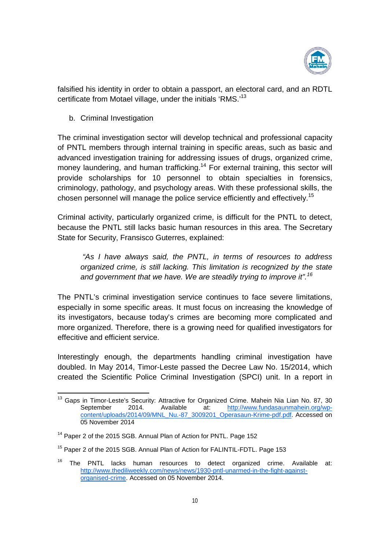

falsified his identity in order to obtain a passport, an electoral card, and an RDTL certificate from Motael village, under the initials 'RMS.'<sup>13</sup>

b. Criminal Investigation

The criminal investigation sector will develop technical and professional capacity of PNTL members through internal training in specific areas, such as basic and advanced investigation training for addressing issues of drugs, organized crime, money laundering, and human trafficking.<sup>14</sup> For external training, this sector will provide scholarships for 10 personnel to obtain specialties in forensics, criminology, pathology, and psychology areas. With these professional skills, the chosen personnel will manage the police service efficiently and effectively. 15

Criminal activity, particularly organized crime, is difficult for the PNTL to detect, because the PNTL still lacks basic human resources in this area. The Secretary State for Security, Fransisco Guterres, explained:

*"As I have always said, the PNTL, in terms of resources to address organized crime, is still lacking. This limitation is recognized by the state and government that we have. We are steadily trying to improve it".<sup>16</sup>*

The PNTL's criminal investigation service continues to face severe limitations, especially in some specific areas. It must focus on increasing the knowledge of its investigators, because today's crimes are becoming more complicated and more organized. Therefore, there is a growing need for qualified investigators for effecitive and efficient service.

Interestingly enough, the departments handling criminal investigation have doubled. In May 2014, Timor-Leste passed the Decree Law No. 15/2014, which created the Scientific Police Criminal Investigation (SPCI) unit. In a report in

<sup>&</sup>lt;sup>13</sup> Gaps in Timor-Leste's Security: Attractive for Organized Crime. Mahein Nia Lian No. 87, 30 September 2014. Available at: http://www.fundasaunmahein.org/wpcontent/uploads/2014/09/MNL\_Nu.-87\_3009201\_Operasaun-Krime-pdf.pdf. Accessed on 05 November 2014

<sup>&</sup>lt;sup>14</sup> Paper 2 of the 2015 SGB. Annual Plan of Action for PNTL. Page 152

<sup>&</sup>lt;sup>15</sup> Paper 2 of the 2015 SGB. Annual Plan of Action for FALINTIL-FDTL. Page 153

 $16$  The PNTL lacks human resources to detect organized crime. Available at: http://www.thediliweekly.com/news/news/1930-pntl-unarmed-in-the-fight-againstorganised-crime. Accessed on 05 November 2014.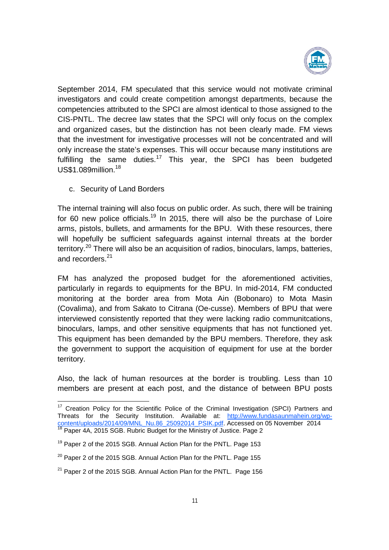

September 2014, FM speculated that this service would not motivate criminal investigators and could create competition amongst departments, because the competencies attributed to the SPCI are almost identical to those assigned to the CIS-PNTL. The decree law states that the SPCI will only focus on the complex and organized cases, but the distinction has not been clearly made. FM views that the investment for investigative processes will not be concentrated and will only increase the state's expenses. This will occur because many institutions are fulfilling the same duties.<sup>17</sup> This year, the SPCI has been budgeted US\$1.089million.<sup>18</sup>

c. Security of Land Borders

The internal training will also focus on public order. As such, there will be training for 60 new police officials.<sup>19</sup> In 2015, there will also be the purchase of Loire arms, pistols, bullets, and armaments for the BPU. With these resources, there will hopefully be sufficient safeguards against internal threats at the border territory.<sup>20</sup> There will also be an acquisition of radios, binoculars, lamps, batteries, and recorders. 21

FM has analyzed the proposed budget for the aforementioned activities, particularly in regards to equipments for the BPU. In mid-2014, FM conducted monitoring at the border area from Mota Ain (Bobonaro) to Mota Masin (Covalima), and from Sakato to Citrana (Oe-cusse). Members of BPU that were interviewed consistently reported that they were lacking radio communitcations, binoculars, lamps, and other sensitive equipments that has not functioned yet. This equipment has been demanded by the BPU members. Therefore, they ask the government to support the acquisition of equipment for use at the border territory.

Also, the lack of human resources at the border is troubling. Less than 10 members are present at each post, and the distance of between BPU posts

<sup>&</sup>lt;sup>17</sup> Creation Policy for the Scientific Police of the Criminal Investigation (SPCI) Partners and Threats for the Security Institution. Available at: http://www.fundasaunmahein.org/wpcontent/uploads/2014/09/MNL\_Nu.86\_25092014\_PSIK.pdf. Accessed on 05 November 2014<br><sup>18</sup> Paner 4A, 2015 SCP, Buksis Bush 16, 2014 <sup>18</sup> Paper 4A, 2015 SGB. Rubric Budget for the Ministry of Justice. Page 2

<sup>&</sup>lt;sup>19</sup> Paper 2 of the 2015 SGB. Annual Action Plan for the PNTL. Page 153

 $20$  Paper 2 of the 2015 SGB. Annual Action Plan for the PNTL. Page 155

 $21$  Paper 2 of the 2015 SGB. Annual Action Plan for the PNTL. Page 156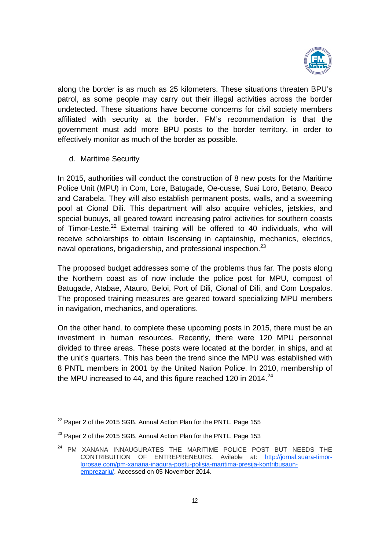

along the border is as much as 25 kilometers. These situations threaten BPU's patrol, as some people may carry out their illegal activities across the border undetected. These situations have become concerns for civil society members affiliated with security at the border. FM's recommendation is that the government must add more BPU posts to the border territory, in order to effectively monitor as much of the border as possible.

d. Maritime Security

In 2015, authorities will conduct the construction of 8 new posts for the Maritime Police Unit (MPU) in Com, Lore, Batugade, Oe-cusse, Suai Loro, Betano, Beaco and Carabela. They will also establish permanent posts, walls, and a sweeming pool at Cional Dili. This department will also acquire vehicles, jetskies, and special buouys, all geared toward increasing patrol activities for southern coasts of Timor-Leste.<sup>22</sup> External training will be offered to 40 individuals, who will receive scholarships to obtain liscensing in captainship, mechanics, electrics, naval operations, brigadiership, and professional inspection.<sup>23</sup>

The proposed budget addresses some of the problems thus far. The posts along the Northern coast as of now include the police post for MPU, compost of Batugade, Atabae, Atauro, Beloi, Port of Dili, Cional of Dili, and Com Lospalos. The proposed training measures are geared toward specializing MPU members in navigation, mechanics, and operations.

On the other hand, to complete these upcoming posts in 2015, there must be an investment in human resources. Recently, there were 120 MPU personnel divided to three areas. These posts were located at the border, in ships, and at the unit's quarters. This has been the trend since the MPU was established with 8 PNTL members in 2001 by the United Nation Police. In 2010, membership of the MPU increased to 44, and this figure reached 120 in 2014. $^{24}$ 

<sup>&</sup>lt;sup>22</sup> Paper 2 of the 2015 SGB. Annual Action Plan for the PNTL. Page 155

<sup>&</sup>lt;sup>23</sup> Paper 2 of the 2015 SGB. Annual Action Plan for the PNTL. Page 153

<sup>&</sup>lt;sup>24</sup> PM XANANA INNAUGURATES THE MARITIME POLICE POST BUT NEEDS THE CONTRIBUITION OF ENTREPRENEURS. Avilable at: http://jornal.suara-timorlorosae.com/pm-xanana-inagura-postu-polisia-maritima-presija-kontribusaunemprezariu/. Accessed on 05 November 2014.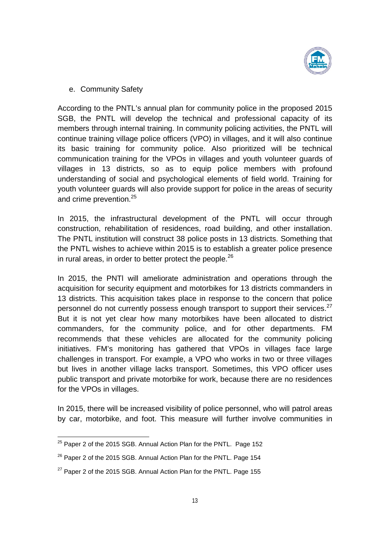

e. Community Safety

According to the PNTL's annual plan for community police in the proposed 2015 SGB, the PNTL will develop the technical and professional capacity of its members through internal training. In community policing activities, the PNTL will continue training village police officers (VPO) in villages, and it will also continue its basic training for community police. Also prioritized will be technical communication training for the VPOs in villages and youth volunteer guards of villages in 13 districts, so as to equip police members with profound understanding of social and psychological elements of field world. Training for youth volunteer guards will also provide support for police in the areas of security and crime prevention.<sup>25</sup>

In 2015, the infrastructural development of the PNTL will occur through construction, rehabilitation of residences, road building, and other installation. The PNTL institution will construct 38 police posts in 13 districts. Something that the PNTL wishes to achieve within 2015 is to establish a greater police presence in rural areas, in order to better protect the people. $^{26}$ 

In 2015, the PNTl will ameliorate administration and operations through the acquisition for security equipment and motorbikes for 13 districts commanders in 13 districts. This acquisition takes place in response to the concern that police personnel do not currently possess enough transport to support their services.<sup>27</sup> But it is not yet clear how many motorbikes have been allocated to district commanders, for the community police, and for other departments. FM recommends that these vehicles are allocated for the community policing initiatives. FM's monitoring has gathered that VPOs in villages face large challenges in transport. For example, a VPO who works in two or three villages but lives in another village lacks transport. Sometimes, this VPO officer uses public transport and private motorbike for work, because there are no residences for the VPOs in villages.

In 2015, there will be increased visibility of police personnel, who will patrol areas by car, motorbike, and foot. This measure will further involve communities in

<sup>&</sup>lt;sup>25</sup> Paper 2 of the 2015 SGB. Annual Action Plan for the PNTL. Page 152

<sup>&</sup>lt;sup>26</sup> Paper 2 of the 2015 SGB. Annual Action Plan for the PNTL. Page 154

 $27$  Paper 2 of the 2015 SGB. Annual Action Plan for the PNTL. Page 155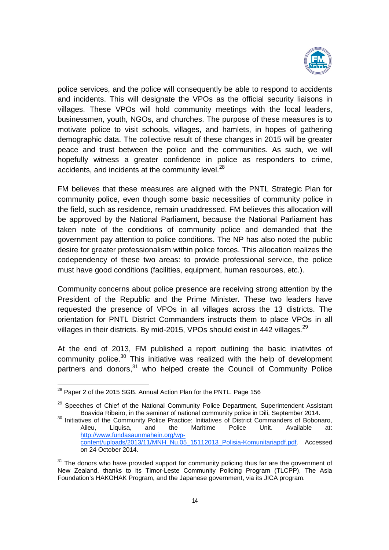

police services, and the police will consequently be able to respond to accidents and incidents. This will designate the VPOs as the official security liaisons in villages. These VPOs will hold community meetings with the local leaders, businessmen, youth, NGOs, and churches. The purpose of these measures is to motivate police to visit schools, villages, and hamlets, in hopes of gathering demographic data. The collective result of these changes in 2015 will be greater peace and trust between the police and the communities. As such, we will hopefully witness a greater confidence in police as responders to crime, accidents, and incidents at the community level.<sup>28</sup>

FM believes that these measures are aligned with the PNTL Strategic Plan for community police, even though some basic necessities of community police in the field, such as residence, remain unaddressed. FM believes this allocation will be approved by the National Parliament, because the National Parliament has taken note of the conditions of community police and demanded that the government pay attention to police conditions. The NP has also noted the public desire for greater professionalism within police forces. This allocation realizes the codependency of these two areas: to provide professional service, the police must have good conditions (facilities, equipment, human resources, etc.).

Community concerns about police presence are receiving strong attention by the President of the Republic and the Prime Minister. These two leaders have requested the presence of VPOs in all villages across the 13 districts. The orientation for PNTL District Commanders instructs them to place VPOs in all villages in their districts. By mid-2015, VPOs should exist in 442 villages.<sup>29</sup>

At the end of 2013, FM published a report outlining the basic iniativites of community police.<sup>30</sup> This initiative was realized with the help of development partners and donors,<sup>31</sup> who helped create the Council of Community Police

<sup>&</sup>lt;sup>28</sup> Paper 2 of the 2015 SGB. Annual Action Plan for the PNTL. Page 156

<sup>&</sup>lt;sup>29</sup> Speeches of Chief of the National Community Police Department, Superintendent Assistant Boavida Ribeiro, in the seminar of national community police in Dili, September 2014. Boavida Ribeiro, in the seminar of national community police in Dili, September 2014.<br><sup>30</sup> Initiatives of the Community Police Practice: Initiatives of District Commanders of Bobonaro,

Aileu, Liquisa, and the Maritime Police Unit. Available at: http://www.fundasaunmahein.org/wpcontent/uploads/2013/11/MNH\_Nu.05\_15112013\_Polisia-Komunitariapdf.pdf. Accessed on 24 October 2014.

<sup>&</sup>lt;sup>31</sup> The donors who have provided support for community policing thus far are the government of New Zealand, thanks to its Timor-Leste Community Policing Program (TLCPP), The Asia Foundation's HAKOHAK Program, and the Japanese government, via its JICA program.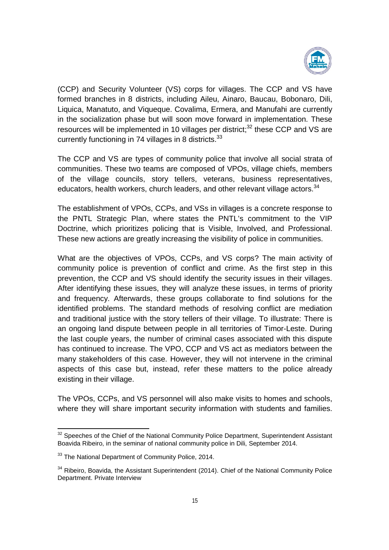

(CCP) and Security Volunteer (VS) corps for villages. The CCP and VS have formed branches in 8 districts, including Aileu, Ainaro, Baucau, Bobonaro, Dili, Liquica, Manatuto, and Viqueque. Covalima, Ermera, and Manufahi are currently in the socialization phase but will soon move forward in implementation. These resources will be implemented in 10 villages per district; $32$  these CCP and VS are currently functioning in 74 villages in 8 districts.  $33$ 

The CCP and VS are types of community police that involve all social strata of communities. These two teams are composed of VPOs, village chiefs, members of the village councils, story tellers, veterans, business representatives, educators, health workers, church leaders, and other relevant village actors.<sup>34</sup>

The establishment of VPOs, CCPs, and VSs in villages is a concrete response to the PNTL Strategic Plan, where states the PNTL's commitment to the VIP Doctrine, which prioritizes policing that is Visible, Involved, and Professional. These new actions are greatly increasing the visibility of police in communities.

What are the objectives of VPOs, CCPs, and VS corps? The main activity of community police is prevention of conflict and crime. As the first step in this prevention, the CCP and VS should identify the security issues in their villages. After identifying these issues, they will analyze these issues, in terms of priority and frequency. Afterwards, these groups collaborate to find solutions for the identified problems. The standard methods of resolving conflict are mediation and traditional justice with the story tellers of their village. To illustrate: There is an ongoing land dispute between people in all territories of Timor-Leste. During the last couple years, the number of criminal cases associated with this dispute has continued to increase. The VPO, CCP and VS act as mediators between the many stakeholders of this case. However, they will not intervene in the criminal aspects of this case but, instead, refer these matters to the police already existing in their village.

The VPOs, CCPs, and VS personnel will also make visits to homes and schools, where they will share important security information with students and families.

<sup>&</sup>lt;sup>32</sup> Speeches of the Chief of the National Community Police Department, Superintendent Assistant Boavida Ribeiro, in the seminar of national community police in Dili, September 2014.

<sup>&</sup>lt;sup>33</sup> The National Department of Community Police, 2014.

 $34$  Ribeiro, Boavida, the Assistant Superintendent (2014). Chief of the National Community Police Department. Private Interview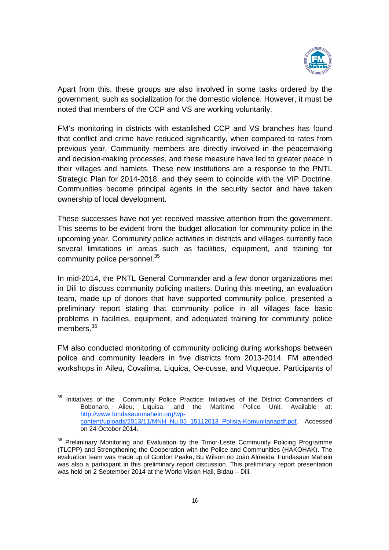

Apart from this, these groups are also involved in some tasks ordered by the government, such as socialization for the domestic violence. However, it must be noted that members of the CCP and VS are working voluntarily.

FM's monitoring in districts with established CCP and VS branches has found that conflict and crime have reduced significantly, when compared to rates from previous year. Community members are directly involved in the peacemaking and decision-making processes, and these measure have led to greater peace in their villages and hamlets. These new institutions are a response to the PNTL Strategic Plan for 2014-2018, and they seem to coincide with the VIP Doctrine. Communities become principal agents in the security sector and have taken ownership of local development.

These successes have not yet received massive attention from the government. This seems to be evident from the budget allocation for community police in the upcoming year. Community police activities in districts and villages currently face several limitations in areas such as facilities, equipment, and training for community police personnel.<sup>35</sup>

In mid-2014, the PNTL General Commander and a few donor organizations met in Dili to discuss community policing matters. During this meeting, an evaluation team, made up of donors that have supported community police, presented a preliminary report stating that community police in all villages face basic problems in facilities, equipment, and adequated training for community police members.<sup>36</sup>

FM also conducted monitoring of community policing during workshops between police and community leaders in five districts from 2013-2014. FM attended workshops in Aileu, Covalima, Liquica, Oe-cusse, and Viqueque. Participants of

<sup>&</sup>lt;sup>35</sup> Initiatives of the Community Police Practice: Initiatives of the District Commanders of Bobonaro, Aileu, Liquisa, and the Maritime Police Unit. Available at: http://www.fundasaunmahein.org/wpcontent/uploads/2013/11/MNH\_Nu.05\_15112013\_Polisia-Komunitariapdf.pdf. Accessed on 24 October 2014.

<sup>&</sup>lt;sup>36</sup> Preliminary Monitoring and Evaluation by the Timor-Leste Community Policing Programme (TLCPP) and Strengthening the Cooperation with the Police and Communities (HAKOHAK). The evaluation team was made up of Gordon Peake, Bu Wilson no João Almeida. Fundasaun Mahein was also a participant in this preliminary report discussion. This preliminary report presentation was held on 2 September 2014 at the World Vision Hall, Bidau – Dili.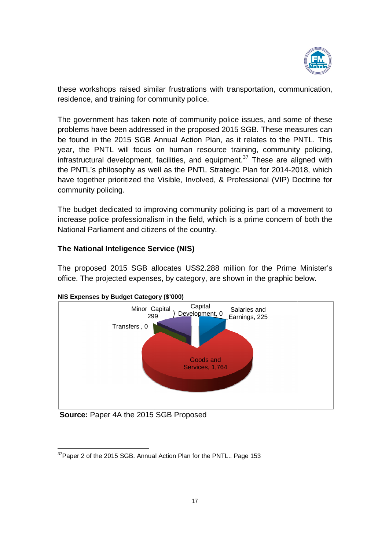

these workshops raised similar frustrations with transportation, communication, residence, and training for community police.

The government has taken note of community police issues, and some of these problems have been addressed in the proposed 2015 SGB. These measures can be found in the 2015 SGB Annual Action Plan, as it relates to the PNTL. This these workshops raised similar frustrations with transportation, communication,<br>residence, and training for community police.<br>The government has taken note of community police issues, and some of these<br>problems have been a infrastructural development, facilities, and equipment.<sup>37</sup> These are aligned with the PNTL's philosophy as well as the PNTL Strategic Plan for 2014-2018, which have together prioritized the Visible, Involved, & Professional (VIP) Doctrine for community policing.

The budget dedicated to improving community policing is part of a movement to increase police professionalism in the field, which is a prime concern of both the<br>National Parliament and citizens of the country. National Parliament and citizens of the country. have together prioritized the Visible, Involved, & Professional (VIP) Doctrine for<br>community policing.<br>The budget dedicated to improving community policing is part of a movement to<br>increase police professionalism in the fi

### **The National Inteligence Service (NIS) Service (NIS)**

The proposed 2015 SGB allocates US\$2.288 million for the Prime M office. The projected expenses, by category, are shown in the graphic below.





**Source:** Paper 4A the 2015 SGB Proposed

**Source:** Paper 4A the 2015 SGB Proposed<br>
<u>37</u><br>
<sup>37</sup>Paper 2 of the 2015 SGB. Annual Action Plan for the PNTL.. Page 153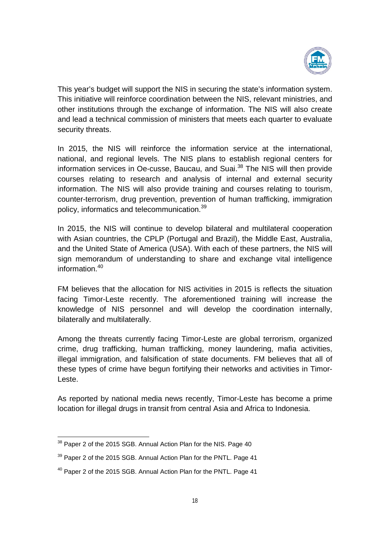

This year's budget will support the NIS in securing the state's information system. This initiative will reinforce coordination between the NIS, relevant ministries, and other institutions through the exchange of information. The NIS will also create and lead a technical commission of ministers that meets each quarter to evaluate security threats.

In 2015, the NIS will reinforce the information service at the international, national, and regional levels. The NIS plans to establish regional centers for information services in Oe-cusse, Baucau, and Suai.<sup>38</sup> The NIS will then provide courses relating to research and analysis of internal and external security information. The NIS will also provide training and courses relating to tourism, counter-terrorism, drug prevention, prevention of human trafficking, immigration policy, informatics and telecommunication.<sup>39</sup>

In 2015, the NIS will continue to develop bilateral and multilateral cooperation with Asian countries, the CPLP (Portugal and Brazil), the Middle East, Australia, and the United State of America (USA). With each of these partners, the NIS will sign memorandum of understanding to share and exchange vital intelligence information. 40

FM believes that the allocation for NIS activities in 2015 is reflects the situation facing Timor-Leste recently. The aforementioned training will increase the knowledge of NIS personnel and will develop the coordination internally, bilaterally and multilaterally.

Among the threats currently facing Timor-Leste are global terrorism, organized crime, drug trafficking, human trafficking, money laundering, mafia activities, illegal immigration, and falsification of state documents. FM believes that all of these types of crime have begun fortifying their networks and activities in Timor-Leste.

As reported by national media news recently, Timor-Leste has become a prime location for illegal drugs in transit from central Asia and Africa to Indonesia.

<sup>&</sup>lt;sup>38</sup> Paper 2 of the 2015 SGB. Annual Action Plan for the NIS. Page 40

<sup>&</sup>lt;sup>39</sup> Paper 2 of the 2015 SGB. Annual Action Plan for the PNTL. Page 41

<sup>&</sup>lt;sup>40</sup> Paper 2 of the 2015 SGB. Annual Action Plan for the PNTL. Page 41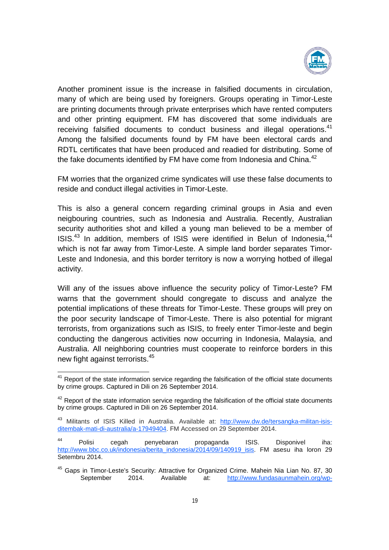

Another prominent issue is the increase in falsified documents in circulation, many of which are being used by foreigners. Groups operating in Timor-Leste are printing documents through private enterprises which have rented computers and other printing equipment. FM has discovered that some individuals are receiving falsified documents to conduct business and illegal operations.<sup>41</sup> Among the falsified documents found by FM have been electoral cards and RDTL certificates that have been produced and readied for distributing. Some of the fake documents identified by FM have come from Indonesia and China.<sup>42</sup>

FM worries that the organized crime syndicates will use these false documents to reside and conduct illegal activities in Timor-Leste.

This is also a general concern regarding criminal groups in Asia and even neigbouring countries, such as Indonesia and Australia. Recently, Australian security authorities shot and killed a young man believed to be a member of ISIS. $43$  In addition, members of ISIS were identified in Belun of Indonesia,  $44$ which is not far away from Timor-Leste. A simple land border separates Timor-Leste and Indonesia, and this border territory is now a worrying hotbed of illegal activity.

Will any of the issues above influence the security policy of Timor-Leste? FM warns that the government should congregate to discuss and analyze the potential implications of these threats for Timor-Leste. These groups will prey on the poor security landscape of Timor-Leste. There is also potential for migrant terrorists, from organizations such as ISIS, to freely enter Timor-leste and begin conducting the dangerous activities now occurring in Indonesia, Malaysia, and Australia. All neighboring countries must cooperate to reinforce borders in this new fight against terrorists.<sup>45</sup>

<sup>&</sup>lt;sup>41</sup> Report of the state information service regarding the falsification of the official state documents by crime groups. Captured in Dili on 26 September 2014.

<sup>&</sup>lt;sup>42</sup> Report of the state information service regarding the falsification of the official state documents by crime groups. Captured in Dili on 26 September 2014.

<sup>43</sup> Militants of ISIS Killed in Australia. Available at: http://www.dw.de/tersangka-militan-isisditembak-mati-di-australia/a-17949404. FM Accessed on 29 September 2014.

<sup>44</sup> Polisi cegah penyebaran propaganda ISIS. Disponivel iha: http://www.bbc.co.uk/indonesia/berita\_indonesia/2014/09/140919\_isis. FM asesu iha loron 29 Setembru 2014.

<sup>&</sup>lt;sup>45</sup> Gaps in Timor-Leste's Security: Attractive for Organized Crime. Mahein Nia Lian No. 87, 30 September 2014. Available at: http://www.fundasaunmahein.org/wp-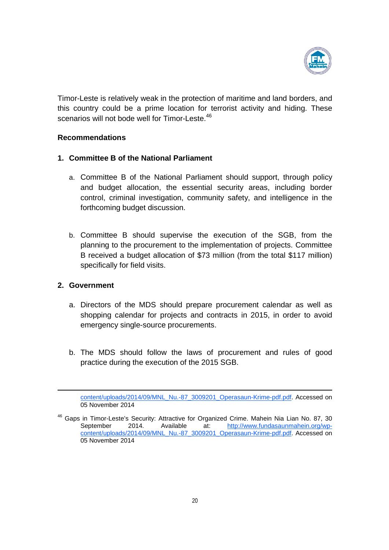

Timor-Leste is relatively weak in the protection of maritime and land borders, and this country could be a prime location for terrorist activity and hiding. These scenarios will not bode well for Timor-Leste.<sup>46</sup>

#### **Recommendations**

#### **1. Committee B of the National Parliament**

- a. Committee B of the National Parliament should support, through policy and budget allocation, the essential security areas, including border control, criminal investigation, community safety, and intelligence in the forthcoming budget discussion.
- b. Committee B should supervise the execution of the SGB, from the planning to the procurement to the implementation of projects. Committee B received a budget allocation of \$73 million (from the total \$117 million) specifically for field visits.

#### **2. Government**

1

- a. Directors of the MDS should prepare procurement calendar as well as shopping calendar for projects and contracts in 2015, in order to avoid emergency single-source procurements.
- b. The MDS should follow the laws of procurement and rules of good practice during the execution of the 2015 SGB.

content/uploads/2014/09/MNL\_Nu.-87\_3009201\_Operasaun-Krime-pdf.pdf. Accessed on 05 November 2014

<sup>&</sup>lt;sup>46</sup> Gaps in Timor-Leste's Security: Attractive for Organized Crime. Mahein Nia Lian No. 87, 30 September 2014. Available at: http://www.fundasaunmahein.org/wpcontent/uploads/2014/09/MNL\_Nu.-87\_3009201\_Operasaun-Krime-pdf.pdf. Accessed on 05 November 2014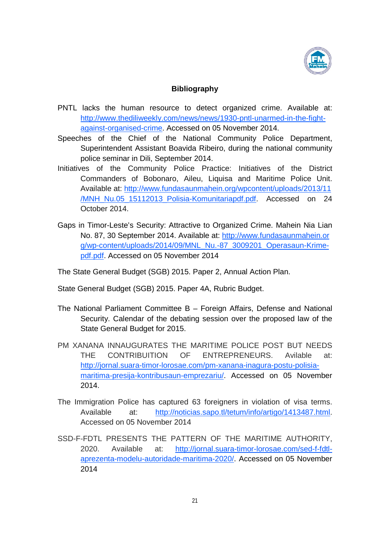

### **Bibliography**

- PNTL lacks the human resource to detect organized crime. Available at: http://www.thediliweekly.com/news/news/1930-pntl-unarmed-in-the-fightagainst-organised-crime. Accessed on 05 November 2014.
- Speeches of the Chief of the National Community Police Department, Superintendent Assistant Boavida Ribeiro, during the national community police seminar in Dili, September 2014.
- Initiatives of the Community Police Practice: Initiatives of the District Commanders of Bobonaro, Aileu, Liquisa and Maritime Police Unit. Available at: http://www.fundasaunmahein.org/wpcontent/uploads/2013/11 /MNH\_Nu.05\_15112013\_Polisia-Komunitariapdf.pdf. Accessed on 24 October 2014.
- Gaps in Timor-Leste's Security: Attractive to Organized Crime. Mahein Nia Lian No. 87, 30 September 2014. Available at: http://www.fundasaunmahein.or g/wp-content/uploads/2014/09/MNL\_Nu.-87\_3009201\_Operasaun-Krimepdf.pdf. Accessed on 05 November 2014

The State General Budget (SGB) 2015. Paper 2, Annual Action Plan.

- State General Budget (SGB) 2015. Paper 4A, Rubric Budget.
- The National Parliament Committee B Foreign Affairs, Defense and National Security. Calendar of the debating session over the proposed law of the State General Budget for 2015.
- PM XANANA INNAUGURATES THE MARITIME POLICE POST BUT NEEDS THE CONTRIBUITION OF ENTREPRENEURS. Avilable at: http://jornal.suara-timor-lorosae.com/pm-xanana-inagura-postu-polisiamaritima-presija-kontribusaun-emprezariu/. Accessed on 05 November 2014.
- The Immigration Police has captured 63 foreigners in violation of visa terms. Available at: http://noticias.sapo.tl/tetum/info/artigo/1413487.html. Accessed on 05 November 2014
- SSD-F-FDTL PRESENTS THE PATTERN OF THE MARITIME AUTHORITY, 2020. Available at: http://jornal.suara-timor-lorosae.com/sed-f-fdtlaprezenta-modelu-autoridade-maritima-2020/. Accessed on 05 November 2014